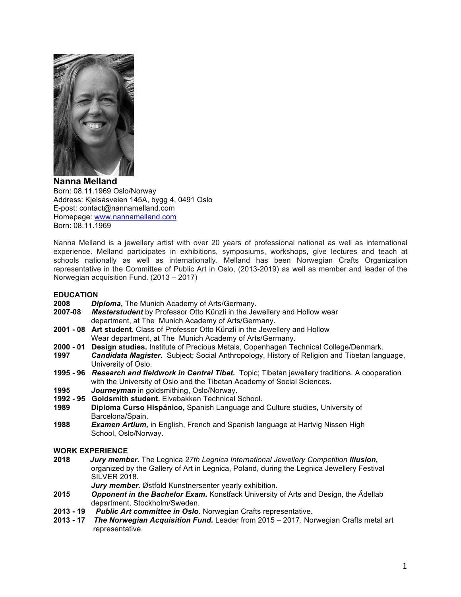

**Nanna Melland** Born: 08.11.1969 Oslo/Norway Address: Kjelsåsveien 145A, bygg 4, 0491 Oslo E-post: contact@nannamelland.com Homepage: www.nannamelland.com Born: 08.11.1969

Nanna Melland is a jewellery artist with over 20 years of professional national as well as international experience. Melland participates in exhibitions, symposiums, workshops, give lectures and teach at schools nationally as well as internationally. Melland has been Norwegian Crafts Organization representative in the Committee of Public Art in Oslo, (2013-2019) as well as member and leader of the Norwegian acquisition Fund. (2013 – 2017)

#### **EDUCATION**

- **2008** *Diploma***,** The Munich Academy of Arts/Germany.
- **2007-08** *Masterstudent* by Professor Otto Künzli in the Jewellery and Hollow wear department, at The Munich Academy of Arts/Germany.
- **2001 - 08 Art student.** Class of Professor Otto Künzli in the Jewellery and Hollow Wear department, at The Munich Academy of Arts/Germany.
- **2000 - 01 Design studies.** Institute of Precious Metals, Copenhagen Technical College/Denmark.
- **1997** *Candidata Magister.* Subject; Social Anthropology, History of Religion and Tibetan language, University of Oslo.
- **1995 - 96** *Research and fieldwork in Central Tibet.* Topic; Tibetan jewellery traditions. A cooperation with the University of Oslo and the Tibetan Academy of Social Sciences.
- **1995** *Journeyman* in goldsmithing, Oslo/Norway.
- **1992 - 95 Goldsmith student.** Elvebakken Technical School.
- **1989 Diploma Curso Hispánico,** Spanish Language and Culture studies, University of Barcelona/Spain.
- **1988** *Examen Artium,* in English, French and Spanish language at Hartvig Nissen High School, Oslo/Norway.

#### **WORK EXPERIENCE**

- **2018** *Jury member.* The Legnica *27th Legnica International Jewellery Competition lllusion***,** organized by the Gallery of Art in Legnica, Poland, during the Legnica Jewellery Festival SILVER 2018.
	- *Jury member.* Østfold Kunstnersenter yearly exhibition.
- **2015** *Opponent in the Bachelor Exam.* Konstfack University of Arts and Design, the Ädellab department, Stockholm/Sweden.
- **2013 - 19** *Public Art committee in Oslo*. Norwegian Crafts representative.
- **2013 - 17** *The Norwegian Acquisition Fund.* Leader from 2015 2017. Norwegian Crafts metal art representative.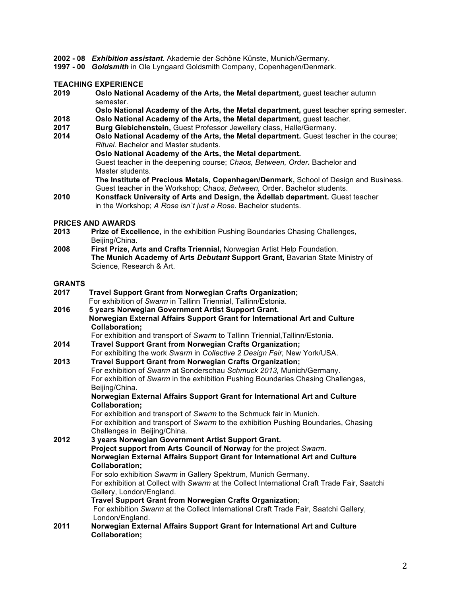- **2002 - 08** *Exhibition assistant.* Akademie der Schöne Künste, Munich/Germany.
- **1997 - 00** *Goldsmith* in Ole Lyngaard Goldsmith Company, Copenhagen/Denmark.

### **TEACHING EXPERIENCE**

- **2019 Oslo National Academy of the Arts, the Metal department,** guest teacher autumn semester.
- **Oslo National Academy of the Arts, the Metal department,** guest teacher spring semester.
- **2018 Oslo National Academy of the Arts, the Metal department,** guest teacher.
- **2017 Burg Giebichenstein,** Guest Professor Jewellery class, Halle/Germany.
- **2014 Oslo National Academy of the Arts, the Metal department.** Guest teacher in the course; *Ritual*. Bachelor and Master students.
	- **Oslo National Academy of the Arts, the Metal department.**

 Guest teacher in the deepening course; *Chaos, Between, Order.* Bachelor and Master students.

 **The Institute of Precious Metals, Copenhagen/Denmark,** School of Design and Business. Guest teacher in the Workshop; *Chaos, Between,* Order. Bachelor students.

**2010 Konstfack University of Arts and Design, the Ädellab department.** Guest teacher in the Workshop; *A Rose isn`t just a Rose.* Bachelor students.

#### **PRICES AND AWARDS**

- **2013 Prize of Excellence,** in the exhibition Pushing Boundaries Chasing Challenges, Beijing/China.
- **2008 First Prize, Arts and Crafts Triennial,** Norwegian Artist Help Foundation. **The Munich Academy of Arts** *Debutant* **Support Grant,** Bavarian State Ministry of Science, Research & Art.

# **GRANTS**

| 2017 | <b>Travel Support Grant from Norwegian Crafts Organization;</b>                                                     |
|------|---------------------------------------------------------------------------------------------------------------------|
|      | For exhibition of Swarm in Tallinn Triennial, Tallinn/Estonia.                                                      |
| 2016 | 5 years Norwegian Government Artist Support Grant.                                                                  |
|      | Norwegian External Affairs Support Grant for International Art and Culture                                          |
|      | Collaboration;                                                                                                      |
|      | For exhibition and transport of Swarm to Tallinn Triennial, Tallinn/Estonia.                                        |
| 2014 | Travel Support Grant from Norwegian Crafts Organization;                                                            |
|      | For exhibiting the work Swarm in Collective 2 Design Fair, New York/USA.                                            |
| 2013 | <b>Travel Support Grant from Norwegian Crafts Organization;</b>                                                     |
|      | For exhibition of Swarm at Sonderschau Schmuck 2013, Munich/Germany.                                                |
|      | For exhibition of Swarm in the exhibition Pushing Boundaries Chasing Challenges,                                    |
|      | Beijing/China.                                                                                                      |
|      | Norwegian External Affairs Support Grant for International Art and Culture                                          |
|      | <b>Collaboration;</b>                                                                                               |
|      | For exhibition and transport of Swarm to the Schmuck fair in Munich.                                                |
|      | For exhibition and transport of Swarm to the exhibition Pushing Boundaries, Chasing<br>Challenges in Beijing/China. |
| 2012 | 3 years Norwegian Government Artist Support Grant.                                                                  |
|      | Project support from Arts Council of Norway for the project Swarm.                                                  |
|      | Norwegian External Affairs Support Grant for International Art and Culture                                          |
|      | <b>Collaboration;</b>                                                                                               |
|      | For solo exhibition Swarm in Gallery Spektrum, Munich Germany.                                                      |
|      | For exhibition at Collect with Swarm at the Collect International Craft Trade Fair, Saatchi                         |
|      | Gallery, London/England.                                                                                            |
|      | Travel Support Grant from Norwegian Crafts Organization;                                                            |
|      | For exhibition Swarm at the Collect International Craft Trade Fair, Saatchi Gallery,                                |
|      | London/England.                                                                                                     |
| 2011 | Norwegian External Affairs Support Grant for International Art and Culture                                          |
|      | Collaboration;                                                                                                      |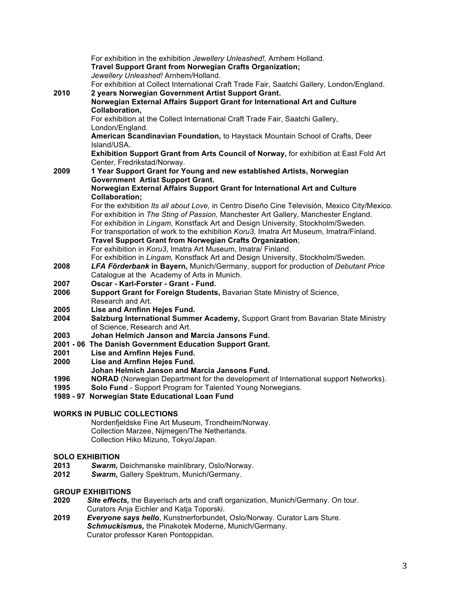|                        | For exhibition in the exhibition Jewellery Unleashed!, Arnhem Holland.<br>Travel Support Grant from Norwegian Crafts Organization;<br>Jewellery Unleashed! Arnhem/Holland.          |
|------------------------|-------------------------------------------------------------------------------------------------------------------------------------------------------------------------------------|
| 2010                   | For exhibition at Collect International Craft Trade Fair, Saatchi Gallery, London/England.<br>2 years Norwegian Government Artist Support Grant.                                    |
|                        | Norwegian External Affairs Support Grant for International Art and Culture                                                                                                          |
|                        | Collaboration,                                                                                                                                                                      |
|                        | For exhibition at the Collect International Craft Trade Fair, Saatchi Gallery,                                                                                                      |
|                        | London/England.                                                                                                                                                                     |
|                        | American Scandinavian Foundation, to Haystack Mountain School of Crafts, Deer                                                                                                       |
|                        | Island/USA.                                                                                                                                                                         |
|                        | Exhibition Support Grant from Arts Council of Norway, for exhibition at East Fold Art                                                                                               |
|                        | Center, Fredrikstad/Norway.                                                                                                                                                         |
| 2009                   | 1 Year Support Grant for Young and new established Artists, Norwegian                                                                                                               |
|                        | <b>Government Artist Support Grant.</b>                                                                                                                                             |
|                        | Norwegian External Affairs Support Grant for International Art and Culture                                                                                                          |
|                        | <b>Collaboration;</b>                                                                                                                                                               |
|                        | For the exhibition Its all about Love, in Centro Diseño Cine Televisión, Mexico City/Mexico.<br>For exhibition in The Sting of Passion, Manchester Art Gallery, Manchester England. |
|                        | For exhibition in Lingam, Konstfack Art and Design University, Stockholm/Sweden.                                                                                                    |
|                        | For transportation of work to the exhibition Koru3, Imatra Art Museum, Imatra/Finland.                                                                                              |
|                        | Travel Support Grant from Norwegian Crafts Organization;                                                                                                                            |
|                        | For exhibition in Koru3, Imatra Art Museum, Imatra/ Finland.                                                                                                                        |
|                        | For exhibition in Lingam, Konstfack Art and Design University, Stockholm/Sweden.                                                                                                    |
| 2008                   | <b>LFA Förderbank in Bayern, Munich/Germany, support for production of Debutant Price</b>                                                                                           |
|                        | Catalogue at the Academy of Arts in Munich.                                                                                                                                         |
| 2007                   | Oscar - Karl-Forster - Grant - Fund.                                                                                                                                                |
| 2006                   | Support Grant for Foreign Students, Bavarian State Ministry of Science,                                                                                                             |
|                        | Research and Art.                                                                                                                                                                   |
| 2005                   | Lise and Arnfinn Hejes Fund.                                                                                                                                                        |
| 2004                   | Salzburg International Summer Academy, Support Grant from Bavarian State Ministry<br>of Science, Research and Art.                                                                  |
| 2003                   | Johan Helmich Janson and Marcia Jansons Fund.                                                                                                                                       |
|                        | 2001 - 06 The Danish Government Education Support Grant.                                                                                                                            |
| 2001                   | Lise and Arnfinn Hejes Fund.                                                                                                                                                        |
| 2000                   | Lise and Arnfinn Hejes Fund.                                                                                                                                                        |
|                        | Johan Helmich Janson and Marcia Jansons Fund.                                                                                                                                       |
| 1996                   | <b>NORAD</b> (Norwegian Department for the development of International support Networks).                                                                                          |
| 1995                   | Solo Fund - Support Program for Talented Young Norwegians.                                                                                                                          |
|                        | 1989 - 97 Norwegian State Educational Loan Fund                                                                                                                                     |
|                        | <b>WORKS IN PUBLIC COLLECTIONS</b>                                                                                                                                                  |
|                        | Nordenfjeldske Fine Art Museum, Trondheim/Norway.                                                                                                                                   |
|                        | Collection Marzee, Nijmegen/The Netherlands.                                                                                                                                        |
|                        | Collection Hiko Mizuno, Tokyo/Japan.                                                                                                                                                |
| <b>SOLO EXHIBITION</b> |                                                                                                                                                                                     |
| 2013                   | Swarm, Deichmanske mainlibrary, Oslo/Norway.                                                                                                                                        |
| 2012                   | Swarm, Gallery Spektrum, Munich/Germany.                                                                                                                                            |
|                        |                                                                                                                                                                                     |
|                        | <b>GROUP EXHIBITIONS</b>                                                                                                                                                            |
| חרחר                   | Site offects, the Rayerisch arts and craft erganization Munich/Cermany On tour                                                                                                      |

- **2020** *Site effects,* the Bayerisch arts and craft organization, Munich/Germany. On tour. Curators Anja Eichler and Katja Toporski.
- **2019** *Everyone says hello*, Kunstnerforbundet, Oslo/Norway. Curator Lars Sture. *Schmuckismus,* the Pinakotek Moderne, Munich/Germany. Curator professor Karen Pontoppidan.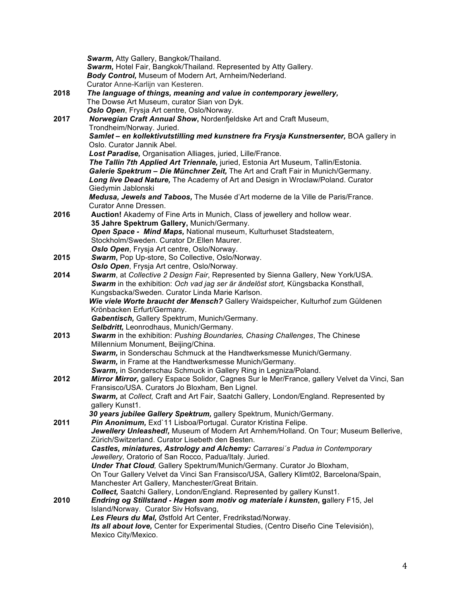|      | Swarm, Atty Gallery, Bangkok/Thailand.<br>Swarm, Hotel Fair, Bangkok/Thailand. Represented by Atty Gallery.<br>Body Control, Museum of Modern Art, Arnheim/Nederland. |
|------|-----------------------------------------------------------------------------------------------------------------------------------------------------------------------|
|      | Curator Anne-Karlijn van Kesteren.                                                                                                                                    |
| 2018 | The language of things, meaning and value in contemporary jewellery,                                                                                                  |
|      | The Dowse Art Museum, curator Sian von Dyk.                                                                                                                           |
|      | Oslo Open, Frysja Art centre, Oslo/Norway.                                                                                                                            |
| 2017 | Norwegian Craft Annual Show, Nordenfjeldske Art and Craft Museum,                                                                                                     |
|      | Trondheim/Norway. Juried.                                                                                                                                             |
|      | Samlet - en kollektivutstilling med kunstnere fra Frysja Kunstnersenter, BOA gallery in                                                                               |
|      | Oslo. Curator Jannik Abel.                                                                                                                                            |
|      | Lost Paradise, Organisation Alliages, juried, Lille/France.                                                                                                           |
|      | The Tallin 7th Applied Art Triennale, juried, Estonia Art Museum, Tallin/Estonia.                                                                                     |
|      | Galerie Spektrum - Die Münchner Zeit, The Art and Craft Fair in Munich/Germany.                                                                                       |
|      | Long live Dead Nature, The Academy of Art and Design in Wroclaw/Poland. Curator                                                                                       |
|      | Giedymin Jablonski                                                                                                                                                    |
|      | Medusa, Jewels and Taboos, The Musée d'Art moderne de la Ville de Paris/France.<br>Curator Anne Dressen.                                                              |
| 2016 | Auction! Akademy of Fine Arts in Munich, Class of jewellery and hollow wear.                                                                                          |
|      | 35 Jahre Spektrum Gallery, Munich/Germany.                                                                                                                            |
|      | Open Space - Mind Maps, National museum, Kulturhuset Stadsteatern,                                                                                                    |
|      | Stockholm/Sweden. Curator Dr.Ellen Maurer.                                                                                                                            |
|      | Oslo Open, Frysja Art centre, Oslo/Norway.                                                                                                                            |
| 2015 | Swarm, Pop Up-store, So Collective, Oslo/Norway.                                                                                                                      |
|      | Oslo Open, Frysja Art centre, Oslo/Norway.                                                                                                                            |
| 2014 | Swarm, at Collective 2 Design Fair, Represented by Sienna Gallery, New York/USA.                                                                                      |
|      | Swarm in the exhibition: Och vad jag ser är ändelöst stort, Küngsbacka Konsthall,                                                                                     |
|      | Kungsbacka/Sweden. Curator Linda Marie Karlson.                                                                                                                       |
|      | Wie viele Worte braucht der Mensch? Gallery Waidspeicher, Kulturhof zum Güldenen                                                                                      |
|      | Krönbacken Erfurt/Germany.                                                                                                                                            |
|      | Gabentisch, Gallery Spektrum, Munich/Germany.                                                                                                                         |
|      | Selbdritt, Leonrodhaus, Munich/Germany.                                                                                                                               |
| 2013 | Swarm in the exhibition: Pushing Boundaries, Chasing Challenges, The Chinese                                                                                          |
|      | Millennium Monument, Beijing/China.                                                                                                                                   |
|      | Swarm, in Sonderschau Schmuck at the Handtwerksmesse Munich/Germany.                                                                                                  |
|      | Swarm, in Frame at the Handtwerksmesse Munich/Germany.                                                                                                                |
|      | Swarm, in Sonderschau Schmuck in Gallery Ring in Legniza/Poland.                                                                                                      |
| 2012 | Mirror Mirror, gallery Espace Solidor, Cagnes Sur le Mer/France, gallery Velvet da Vinci, San                                                                         |
|      | Fransisco/USA. Curators Jo Bloxham, Ben Lignel.                                                                                                                       |
|      | Swarm, at Collect, Craft and Art Fair, Saatchi Gallery, London/England. Represented by                                                                                |
|      | gallery Kunst1.                                                                                                                                                       |
|      | 30 years jubilee Gallery Spektrum, gallery Spektrum, Munich/Germany.                                                                                                  |
| 2011 | Pin Anonimum, Exd'11 Lisboa/Portugal. Curator Kristina Felipe.                                                                                                        |
|      | Jewellery Unleashed!, Museum of Modern Art Arnhem/Holland. On Tour; Museum Bellerive,                                                                                 |
|      | Zürich/Switzerland. Curator Lisebeth den Besten.                                                                                                                      |
|      | Castles, miniatures, Astrology and Alchemy: Carraresi's Padua in Contemporary                                                                                         |
|      | Jewellery, Oratorio of San Rocco, Padua/Italy. Juried.                                                                                                                |
|      | Under That Cloud, Gallery Spektrum/Munich/Germany. Curator Jo Bloxham,                                                                                                |
|      | On Tour Gallery Velvet da Vinci San Fransisco/USA, Gallery Klimt02, Barcelona/Spain,                                                                                  |
|      | Manchester Art Gallery, Manchester/Great Britain.                                                                                                                     |
|      | Collect, Saatchi Gallery, London/England. Represented by gallery Kunst1.                                                                                              |
| 2010 | Endring og Stillstand - Hagen som motiv og materiale i kunsten, gallery F15, Jel                                                                                      |
|      | Island/Norway. Curator Siv Hofsvang,                                                                                                                                  |
|      | Les Fleurs du Mal, Østfold Art Center, Fredrikstad/Norway.                                                                                                            |
|      | Its all about love, Center for Experimental Studies, (Centro Diseño Cine Televisión),                                                                                 |
|      | Mexico City/Mexico.                                                                                                                                                   |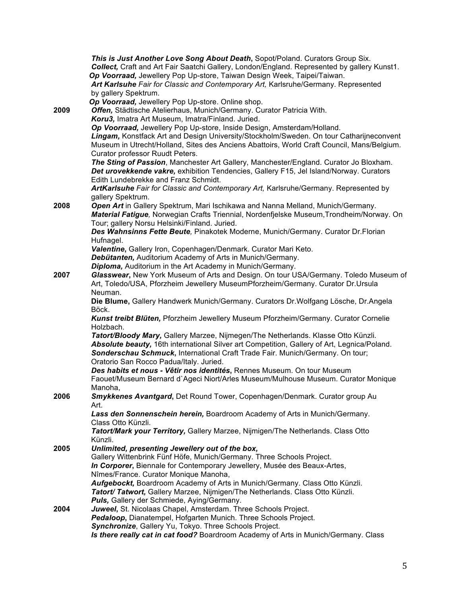|      | This is Just Another Love Song About Death, Sopot/Poland. Curators Group Six.<br>Collect, Craft and Art Fair Saatchi Gallery, London/England. Represented by gallery Kunst1.<br>Op Voorraad, Jewellery Pop Up-store, Taiwan Design Week, Taipei/Taiwan.<br>Art Karlsuhe Fair for Classic and Contemporary Art, Karlsruhe/Germany. Represented<br>by gallery Spektrum. |
|------|-----------------------------------------------------------------------------------------------------------------------------------------------------------------------------------------------------------------------------------------------------------------------------------------------------------------------------------------------------------------------|
|      | Op Voorraad, Jewellery Pop Up-store. Online shop.                                                                                                                                                                                                                                                                                                                     |
| 2009 | Offen, Städtische Atelierhaus, Munich/Germany. Curator Patricia With.                                                                                                                                                                                                                                                                                                 |
|      | Koru3, Imatra Art Museum, Imatra/Finland. Juried.                                                                                                                                                                                                                                                                                                                     |
|      | Op Voorraad, Jewellery Pop Up-store, Inside Design, Amsterdam/Holland.                                                                                                                                                                                                                                                                                                |
|      | Lingam, Konstfack Art and Design University/Stockholm/Sweden. On tour Catharijneconvent                                                                                                                                                                                                                                                                               |
|      | Museum in Utrecht/Holland, Sites des Anciens Abattoirs, World Craft Council, Mans/Belgium.                                                                                                                                                                                                                                                                            |
|      | Curator professor Ruudt Peters.                                                                                                                                                                                                                                                                                                                                       |
|      | The Sting of Passion, Manchester Art Gallery, Manchester/England. Curator Jo Bloxham.                                                                                                                                                                                                                                                                                 |
|      | Det urovekkende vakre, exhibition Tendencies, Gallery F15, Jel Island/Norway. Curators                                                                                                                                                                                                                                                                                |
|      | Edith Lundebrekke and Franz Schmidt.                                                                                                                                                                                                                                                                                                                                  |
|      | ArtKarlsuhe Fair for Classic and Contemporary Art, Karlsruhe/Germany. Represented by                                                                                                                                                                                                                                                                                  |
|      | gallery Spektrum.                                                                                                                                                                                                                                                                                                                                                     |
| 2008 | Open Art in Gallery Spektrum, Mari Ischikawa and Nanna Melland, Munich/Germany.                                                                                                                                                                                                                                                                                       |
|      | Material Fatigue, Norwegian Crafts Triennial, Nordenfjelske Museum, Trondheim/Norway. On                                                                                                                                                                                                                                                                              |
|      | Tour; gallery Norsu Helsinki/Finland. Juried.                                                                                                                                                                                                                                                                                                                         |
|      | Des Wahnsinns Fette Beute, Pinakotek Moderne, Munich/Germany. Curator Dr.Florian                                                                                                                                                                                                                                                                                      |
|      | Hufnagel.                                                                                                                                                                                                                                                                                                                                                             |
|      | Valentine, Gallery Iron, Copenhagen/Denmark. Curator Mari Keto.                                                                                                                                                                                                                                                                                                       |
|      | Debütanten, Auditorium Academy of Arts in Munich/Germany.                                                                                                                                                                                                                                                                                                             |
|      | Diploma, Auditorium in the Art Academy in Munich/Germany.                                                                                                                                                                                                                                                                                                             |
| 2007 | Glasswear, New York Museum of Arts and Design. On tour USA/Germany. Toledo Museum of                                                                                                                                                                                                                                                                                  |
|      | Art, Toledo/USA, Pforzheim Jewellery MuseumPforzheim/Germany. Curator Dr.Ursula                                                                                                                                                                                                                                                                                       |
|      | Neuman.                                                                                                                                                                                                                                                                                                                                                               |
|      | Die Blume, Gallery Handwerk Munich/Germany. Curators Dr.Wolfgang Lösche, Dr.Angela                                                                                                                                                                                                                                                                                    |
|      | Böck.                                                                                                                                                                                                                                                                                                                                                                 |
|      | Kunst treibt Blüten, Pforzheim Jewellery Museum Pforzheim/Germany. Curator Cornelie                                                                                                                                                                                                                                                                                   |
|      | Holzbach.                                                                                                                                                                                                                                                                                                                                                             |
|      | Tatort/Bloody Mary, Gallery Marzee, Nijmegen/The Netherlands. Klasse Otto Künzli.                                                                                                                                                                                                                                                                                     |
|      | Absolute beauty, 16th international Silver art Competition, Gallery of Art, Legnica/Poland.                                                                                                                                                                                                                                                                           |
|      | Sonderschau Schmuck, International Craft Trade Fair. Munich/Germany. On tour;                                                                                                                                                                                                                                                                                         |
|      | Oratorio San Rocco Padua/Italy. Juried.                                                                                                                                                                                                                                                                                                                               |
|      | Des habits et nous - Vêtir nos identités, Rennes Museum. On tour Museum                                                                                                                                                                                                                                                                                               |
|      | Faouet/Museum Bernard d'Ageci Niort/Arles Museum/Mulhouse Museum. Curator Monique                                                                                                                                                                                                                                                                                     |
| 2006 | Manoha,<br>Smykkenes Avantgard, Det Round Tower, Copenhagen/Denmark. Curator group Au                                                                                                                                                                                                                                                                                 |
|      | Art.                                                                                                                                                                                                                                                                                                                                                                  |
|      | Lass den Sonnenschein herein, Boardroom Academy of Arts in Munich/Germany.                                                                                                                                                                                                                                                                                            |
|      | Class Otto Künzli.                                                                                                                                                                                                                                                                                                                                                    |
|      | Tatort/Mark your Territory, Gallery Marzee, Nijmigen/The Netherlands. Class Otto                                                                                                                                                                                                                                                                                      |
|      | Künzli.                                                                                                                                                                                                                                                                                                                                                               |
| 2005 | Unlimited, presenting Jewellery out of the box,                                                                                                                                                                                                                                                                                                                       |
|      | Gallery Wittenbrink Fünf Höfe, Munich/Germany. Three Schools Project.                                                                                                                                                                                                                                                                                                 |
|      | In Corporer, Biennale for Contemporary Jewellery, Musée des Beaux-Artes,                                                                                                                                                                                                                                                                                              |
|      | Nîmes/France. Curator Monique Manoha,                                                                                                                                                                                                                                                                                                                                 |
|      | Aufgebockt, Boardroom Academy of Arts in Munich/Germany. Class Otto Künzli.                                                                                                                                                                                                                                                                                           |
|      | Tatort/ Tatwort, Gallery Marzee, Nijmigen/The Netherlands. Class Otto Künzli.                                                                                                                                                                                                                                                                                         |
|      | Puls, Gallery der Schmiede, Aying/Germany.                                                                                                                                                                                                                                                                                                                            |
| 2004 | Juweel, St. Nicolaas Chapel, Amsterdam. Three Schools Project.                                                                                                                                                                                                                                                                                                        |
|      | Pedaloop, Dianatempel, Hofgarten Munich. Three Schools Project.                                                                                                                                                                                                                                                                                                       |
|      | Synchronize, Gallery Yu, Tokyo. Three Schools Project.                                                                                                                                                                                                                                                                                                                |
|      | Is there really cat in cat food? Boardroom Academy of Arts in Munich/Germany. Class                                                                                                                                                                                                                                                                                   |
|      |                                                                                                                                                                                                                                                                                                                                                                       |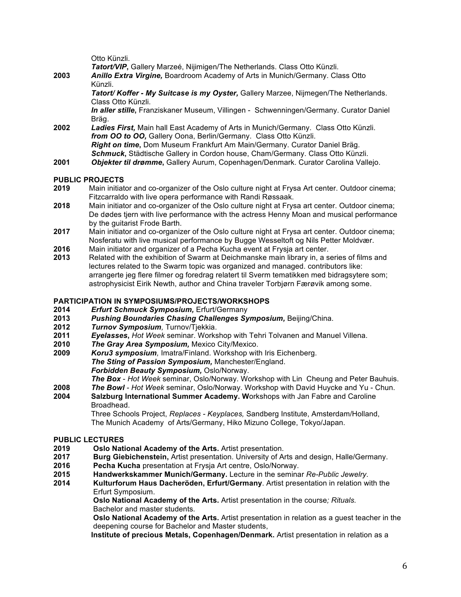Otto Künzli.

 *Tatort/VIP***,** Gallery Marzeé, Nijimigen/The Netherlands. Class Otto Künzli. **2003** *Anillo Extra Virgine,* Boardroom Academy of Arts in Munich/Germany. Class Otto Künzli.

 *Tatort/ Koffer - My Suitcase is my Oyster,* Gallery Marzee, Nijmegen/The Netherlands. Class Otto Künzli.

 *In aller stille***,** Franziskaner Museum, Villingen - Schwenningen/Germany. Curator Daniel Bräg.

- **2002** *Ladies First,* Main hall East Academy of Arts in Munich/Germany. Class Otto Künzli. *from OO to OO,* Gallery Oona, Berlin/Germany. Class Otto Künzli. *Right on time***,** Dom Museum Frankfurt Am Main/Germany. Curator Daniel Bräg. *Schmuck***,** Städtische Gallery in Cordon house, Cham/Germany. Class Otto Künzli.
- **2001** *Objekter til drømme***,** Gallery Aurum, Copenhagen/Denmark. Curator Carolina Vallejo.

#### **PUBLIC PROJECTS**

- **2019** Main initiator and co-organizer of the Oslo culture night at Frysa Art center. Outdoor cinema; Fitzcarraldo with live opera performance with Randi Røssaak.
- **2018** Main initiator and co-organizer of the Oslo culture night at Frysa art center. Outdoor cinema; De dødes tjern with live performance with the actress Henny Moan and musical performance by the guitarist Frode Barth.
- **2017** Main initiator and co-organizer of the Oslo culture night at Frysa art center. Outdoor cinema; Nosferatu with live musical performance by Bugge Wesseltoft og Nils Petter Moldvær.
- **2016** Main initiator and organizer of a Pecha Kucha event at Frysja art center.
- **2013** Related with the exhibition of Swarm at Deichmanske main library in, a series of films and lectures related to the Swarm topic was organized and managed. contributors like: arrangerte jeg flere filmer og foredrag relatert til Sverm tematikken med bidragsytere som; astrophysicist Eirik Newth, author and China traveler Torbjørn Færøvik among some.

### **PARTICIPATION IN SYMPOSIUMS/PROJECTS/WORKSHOPS**

- **2014** *Erfurt Schmuck Symposium,* Erfurt/Germany
- **2013** *Pushing Boundaries Chasing Challenges Symposium,* Beijing/China.
- **2012** *Turnov Symposium,* Turnov/Tjekkia.
- **2011** *Eyelasses***,** *Hot Week* seminar. Workshop with Tehri Tolvanen and Manuel Villena.
- **2010** *The Gray Area Symposium,* Mexico City/Mexico.
- **2009** *Koru3 symposium,* Imatra/Finland. Workshop with Iris Eichenberg. *The Sting of Passion Symposium,* Manchester/England. *Forbidden Beauty Symposium,* Oslo/Norway.

*The Box* - *Hot Week* seminar, Oslo/Norway. Workshop with Lin Cheung and Peter Bauhuis.

- **2008** *The Bowl - Hot Week* seminar, Oslo/Norway. Workshop with David Huycke and Yu Chun.
- **2004 Salzburg International Summer Academy. W**orkshops with Jan Fabre and Caroline Broadhead.

Three Schools Project, *Replaces - Keyplaces,* Sandberg Institute, Amsterdam/Holland, The Munich Academy of Arts/Germany, Hiko Mizuno College, Tokyo/Japan.

# **PUBLIC LECTURES**

- **2019 Oslo National Academy of the Arts.** Artist presentation.
- **2017 Burg Giebichenstein,** Artist presentation. University of Arts and design, Halle/Germany.
- **2016 Pecha Kucha** presentation at Frysja Art centre, Oslo/Norway.
- **2015 Handwerkskammer Munich/Germany.** Lecture in the seminar *Re-Public Jewelry*.
- **2014 Kulturforum Haus Dacheröden, Erfurt/Germany**. Artist presentation in relation with the Erfurt Symposium.

 **Oslo National Academy of the Arts.** Artist presentation in the course*; Rituals.* Bachelor and master students.

 **Oslo National Academy of the Arts.** Artist presentation in relation as a guest teacher in the deepening course for Bachelor and Master students,

**Institute of precious Metals, Copenhagen/Denmark.** Artist presentation in relation as a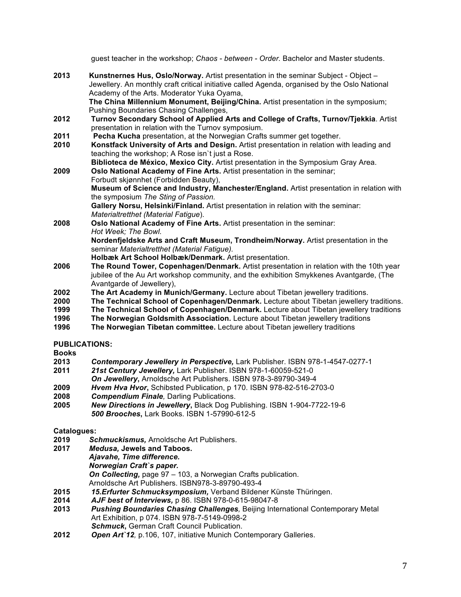guest teacher in the workshop; *Chaos - between - Order.* Bachelor and Master students.

- **2013 Kunstnernes Hus, Oslo/Norway.** Artist presentation in the seminar Subject Object Jewellery. An monthly craft critical initiative called Agenda, organised by the Oslo National Academy of the Arts. Moderator Yuka Oyama, **The China Millennium Monument, Beijing/China.** Artist presentation in the symposium; Pushing Boundaries Chasing Challenges,
- **2012 Turnov Secondary School of Applied Arts and College of Crafts, Turnov/Tjekkia**. Artist presentation in relation with the Turnov symposium.<br>**2011 Pecha Kucha** presentation, at the Norwegian Crafts
- Pecha Kucha presentation, at the Norwegian Crafts summer get together.
- **2010 Konstfack University of Arts and Design.** Artist presentation in relation with leading and teaching the workshop; A Rose isn`t just a Rose.
- **Biblioteca de México, Mexico City.** Artist presentation in the Symposium Gray Area. **2009 Oslo National Academy of Fine Arts.** Artist presentation in the seminar; Forbudt skjønnhet (Forbidden Beauty), **Museum of Science and Industry, Manchester/England.** Artist presentation in relation with the symposium *The Sting of Passion.* **Gallery Norsu, Helsinki/Finland.** Artist presentation in relation with the seminar: *Materialtretthet (Material Fatigue*). **2008 Oslo National Academy of Fine Arts.** Artist presentation in the seminar: *Hot Week; The Bowl.* **Nordenfjeldske Arts and Craft Museum, Trondheim/Norway.** Artist presentation in the
	- seminar *Materialtretthet (Material Fatigue).*

**Holbæk Art School Holbæk/Denmark.** Artist presentation.

- **2006 The Round Tower, Copenhagen/Denmark.** Artist presentation in relation with the 10th year jubilee of the Au Art workshop community, and the exhibition Smykkenes Avantgarde, (The Avantgarde of Jewellery),
- **2002 The Art Academy in Munich/Germany.** Lecture about Tibetan jewellery traditions.
- **2000 The Technical School of Copenhagen/Denmark.** Lecture about Tibetan jewellery traditions.
- **1999 The Technical School of Copenhagen/Denmark.** Lecture about Tibetan jewellery traditions
- **1996****The Norwegian Goldsmith Association.** Lecture about Tibetan jewellery traditions
- **1996****The Norwegian Tibetan committee.** Lecture about Tibetan jewellery traditions

### **PUBLICATIONS:**

**Books**

- **2013** *Contemporary Jewellery in Perspective,* Lark Publisher. ISBN 978-1-4547-0277-1
- **2011** *21st Century Jewellery,* Lark Publisher. ISBN 978-1-60059-521-0
- *On Jewellery***,** Arnoldsche Art Publishers. ISBN 978-3-89790-349-4
- **2009** *Hvem Hva Hvor***,** Schibsted Publication, p 170. ISBN 978-82-516-2703-0
- **2008** *Compendium Finale,* Darling Publications.
- **2005** *New Directions in Jewellery***,** Black Dog Publishing. ISBN 1-904-7722-19-6 *500 Brooches***,** Lark Books. ISBN 1-57990-612-5

### **Catalogues:**

- **2019** *Schmuckismus,* Arnoldsche Art Publishers.
- **2017** *Medusa,* **Jewels and Taboos.** *Ajavahe, Time difference. Norwegian Craft`s paper.* *On Collecting,* page 97 – 103, a Norwegian Crafts publication.
	- Arnoldsche Art Publishers. ISBN978-3-89790-493-4
- **2015** *15.Erfurter Schmucksymposium,* Verband Bildener Künste Thüringen.
- **2014** *AJF best of Interviews,* p 86. ISBN 978-0-615-98047-8
- **2013** *Pushing Boundaries Chasing Challenges,* Beijing International Contemporary Metal Art Exhibition, p 074. ISBN 978-7-5149-0998-2 *Schmuck***,** German Craft Council Publication.
- **2012** *Open Art`12,* p.106, 107, initiative Munich Contemporary Galleries.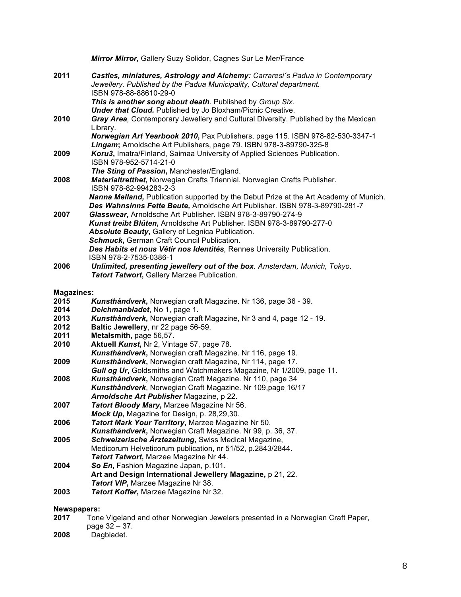|                   | Mirror Mirror, Gallery Suzy Solidor, Cagnes Sur Le Mer/France                                                                                                                   |  |  |
|-------------------|---------------------------------------------------------------------------------------------------------------------------------------------------------------------------------|--|--|
| 2011              | Castles, miniatures, Astrology and Alchemy: Carraresi's Padua in Contemporary<br>Jewellery. Published by the Padua Municipality, Cultural department.<br>ISBN 978-88-88610-29-0 |  |  |
|                   | This is another song about death. Published by Group Six.                                                                                                                       |  |  |
|                   | <b>Under that Cloud.</b> Published by Jo Bloxham/Picnic Creative.                                                                                                               |  |  |
| 2010              | Gray Area, Contemporary Jewellery and Cultural Diversity. Published by the Mexican<br>Library.                                                                                  |  |  |
|                   | Norwegian Art Yearbook 2010, Pax Publishers, page 115. ISBN 978-82-530-3347-1                                                                                                   |  |  |
|                   | Lingam; Arnoldsche Art Publishers, page 79. ISBN 978-3-89790-325-8                                                                                                              |  |  |
| 2009              | Koru3, Imatra/Finland, Saimaa University of Applied Sciences Publication.<br>ISBN 978-952-5714-21-0                                                                             |  |  |
|                   | The Sting of Passion, Manchester/England.                                                                                                                                       |  |  |
| 2008              | Materialtretthet, Norwegian Crafts Triennial. Norwegian Crafts Publisher.<br>ISBN 978-82-994283-2-3                                                                             |  |  |
|                   | Nanna Melland, Publication supported by the Debut Prize at the Art Academy of Munich.                                                                                           |  |  |
|                   | Des Wahnsinns Fette Beute, Arnoldsche Art Publisher. ISBN 978-3-89790-281-7                                                                                                     |  |  |
| 2007              | Glasswear, Arnoldsche Art Publisher. ISBN 978-3-89790-274-9                                                                                                                     |  |  |
|                   | Kunst treibt Blüten, Arnoldsche Art Publisher. ISBN 978-3-89790-277-0                                                                                                           |  |  |
|                   | Absolute Beauty, Gallery of Legnica Publication.                                                                                                                                |  |  |
|                   | Schmuck, German Craft Council Publication.                                                                                                                                      |  |  |
|                   | Des Habits et nous Vêtir nos Identités, Rennes University Publication.                                                                                                          |  |  |
| 2006              | ISBN 978-2-7535-0386-1<br>Unlimited, presenting jewellery out of the box. Amsterdam, Munich, Tokyo.                                                                             |  |  |
|                   | Tatort Tatwort, Gallery Marzee Publication.                                                                                                                                     |  |  |
|                   |                                                                                                                                                                                 |  |  |
| <b>Magazines:</b> |                                                                                                                                                                                 |  |  |
| 2015              | Kunsthåndverk, Norwegian craft Magazine. Nr 136, page 36 - 39.                                                                                                                  |  |  |
| 2014              | Deichmanbladet, No 1, page 1.                                                                                                                                                   |  |  |
| 2013              | Kunsthåndverk, Norwegian craft Magazine, Nr 3 and 4, page 12 - 19.                                                                                                              |  |  |
| 2012              | Baltic Jewellery, nr 22 page 56-59.                                                                                                                                             |  |  |
| 2011              | Metalsmith, page 56,57.                                                                                                                                                         |  |  |
| 2010              | Aktuell Kunst, Nr 2, Vintage 57, page 78.                                                                                                                                       |  |  |
|                   | Kunsthåndverk, Norwegian craft Magazine. Nr 116, page 19.                                                                                                                       |  |  |
| 2009              | Kunsthåndverk, Norwegian craft Magazine, Nr 114, page 17.                                                                                                                       |  |  |
|                   | Gull og Ur, Goldsmiths and Watchmakers Magazine, Nr 1/2009, page 11.                                                                                                            |  |  |
| 2008              | Kunsthåndverk, Norwegian Craft Magazine. Nr 110, page 34<br>Kunsthåndverk, Norwegian Craft Magazine. Nr 109, page 16/17                                                         |  |  |
|                   | Arnoldsche Art Publisher Magazine, p 22.                                                                                                                                        |  |  |
| 2007              | Tatort Bloody Mary, Marzee Magazine Nr 56.                                                                                                                                      |  |  |
|                   | Mock Up, Magazine for Design, p. 28,29,30.                                                                                                                                      |  |  |
| 2006              | Tatort Mark Your Territory, Marzee Magazine Nr 50.                                                                                                                              |  |  |
|                   | Kunsthåndverk, Norwegian Craft Magazine. Nr 99, p. 36, 37.                                                                                                                      |  |  |
| 2005              | Schweizerische Ärztezeitung, Swiss Medical Magazine,                                                                                                                            |  |  |
|                   | Medicorum Helveticorum publication, nr 51/52, p.2843/2844.                                                                                                                      |  |  |
|                   | Tatort Tatwort, Marzee Magazine Nr 44.                                                                                                                                          |  |  |
| 2004              | So En, Fashion Magazine Japan, p.101.                                                                                                                                           |  |  |
|                   | Art and Design International Jewellery Magazine, p 21, 22.                                                                                                                      |  |  |
|                   | Tatort VIP, Marzee Magazine Nr 38.                                                                                                                                              |  |  |
| 2003              | Tatort Koffer, Marzee Magazine Nr 32.                                                                                                                                           |  |  |
|                   | Newspapers:                                                                                                                                                                     |  |  |
| 2017              | Tone Vigeland and other Norwegian Jewelers presented in a Norwegian Craft Paper,                                                                                                |  |  |
|                   | page 32 - 37.                                                                                                                                                                   |  |  |

**2008** Dagbladet.